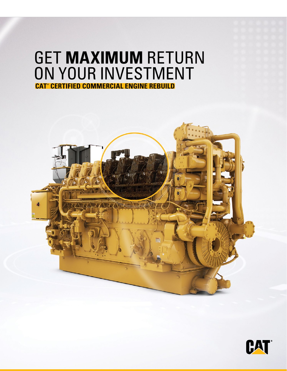# GET **MAXIMUM** RETURN ON YOUR INVESTMENT **CAT® CERTIFIED COMMERCIAL ENGINE REBUILD**



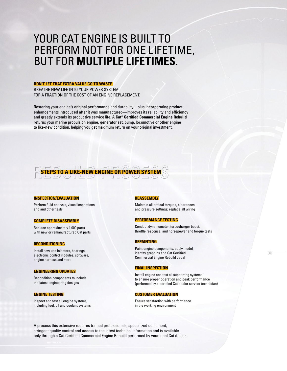## YOUR CAT ENGINE IS BUILT TO PERFORM NOT FOR ONE LIFETIME, BUT FOR **MULTIPLE LIFETIMES**.

#### **DON'T LET THAT EXTRA VALUE GO TO WASTE.**

BREATHE NEW LIFE INTO YOUR POWER SYSTEM FOR A FRACTION OF THE COST OF AN ENGINE REPLACEMENT.

Restoring your engine's original performance and durability—plus incorporating product enhancements introduced after it was manufactured—improves its reliability and efficiency and greatly extends its productive service life. A **Cat® Certified Commercial Engine Rebuild** returns your marine propulsion engine, generator set, pump, locomotive or other engine to like-new condition, helping you get maximum return on your original investment.

**REEPS TO A LIKE-NEW ENGINE OR POWER SYSTEM** 

#### **INSPECTION/EVALUATION**

Perform fluid analysis, visual inspections and and other tests

#### **COMPLETE DISASSEMBLY**

Replace approximately 1,000 parts with new or remanufactured Cat parts

#### **RECONDITIONING**

Install new unit injectors, bearings, electronic control modules, software, engine harness and more

#### **ENGINEERING UPDATES**

Recondition components to include the latest engineering designs

#### **ENGINE TESTING**

Inspect and test all engine systems, including fuel, oil and coolant systems

#### **REASSEMBLY**

Maintain all critical torques, clearances and pressure settings; replace all wiring

#### **PERFORMANCE TESTING**

Conduct dynamometer, turbocharger boost, throttle response, and horsepower and torque tests

#### **REPAINTING**

Paint engine components; apply model identity graphics and Cat Certified Commercial Engine Rebuild decal

#### **FINAL INSPECTION**

Install engine and test all supporting systems to ensure proper operation and peak performance (performed by a certified Cat dealer service technician)  $\odot$ 

#### **CUSTOMER EVALUATION**

Ensure satisfaction with performance in the working environment

A process this extensive requires trained professionals, specialized equipment, stringent quality control and access to the latest technical information and is available only through a Cat Certified Commercial Engine Rebuild performed by your local Cat dealer.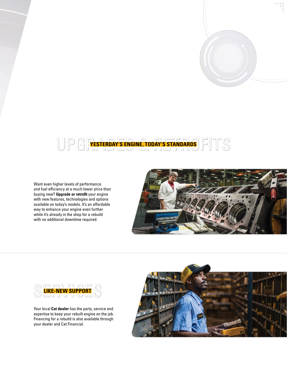### UPGRESTERDAY'S ENGINE, TODAY'S STANDARDS FITS **YESTERDAY'S ENGINE, TODAY'S STANDARDS**

Want even higher levels of performance and fuel efficiency at a much lower price than buying new? **Upgrade or retrofit** your engine with new features, technologies and options available on today's models. It's an affordable way to enhance your engine even further while it's already in the shop for a rebuild with no additional downtime required.





Your local **Cat dealer** has the parts, service and expertise to keep your rebuilt engine on the job. Financing for a rebuild is also available through your dealer and Cat Financial.